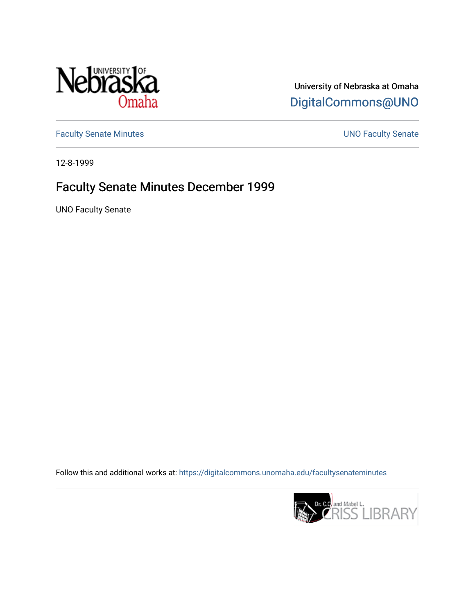

University of Nebraska at Omaha [DigitalCommons@UNO](https://digitalcommons.unomaha.edu/) 

[Faculty Senate Minutes](https://digitalcommons.unomaha.edu/facultysenateminutes) **Exercise Senate UNO Faculty Senate** 

12-8-1999

## Faculty Senate Minutes December 1999

UNO Faculty Senate

Follow this and additional works at: [https://digitalcommons.unomaha.edu/facultysenateminutes](https://digitalcommons.unomaha.edu/facultysenateminutes?utm_source=digitalcommons.unomaha.edu%2Ffacultysenateminutes%2F71&utm_medium=PDF&utm_campaign=PDFCoverPages) 

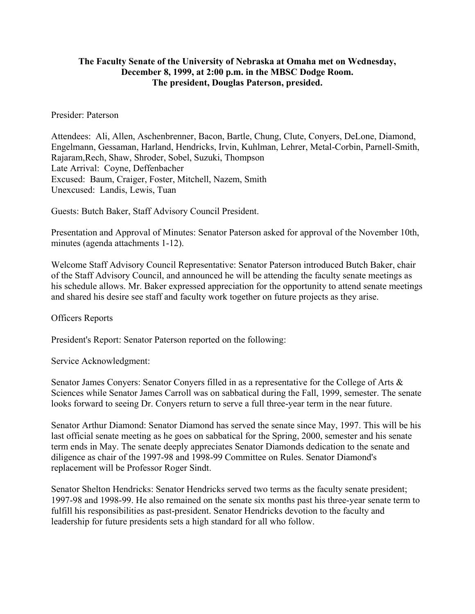## **The Faculty Senate of the University of Nebraska at Omaha met on Wednesday, December 8, 1999, at 2:00 p.m. in the MBSC Dodge Room. The president, Douglas Paterson, presided.**

## Presider: Paterson

Attendees: Ali, Allen, Aschenbrenner, Bacon, Bartle, Chung, Clute, Conyers, DeLone, Diamond, Engelmann, Gessaman, Harland, Hendricks, Irvin, Kuhlman, Lehrer, Metal-Corbin, Parnell-Smith, Rajaram,Rech, Shaw, Shroder, Sobel, Suzuki, Thompson Late Arrival: Coyne, Deffenbacher Excused: Baum, Craiger, Foster, Mitchell, Nazem, Smith Unexcused: Landis, Lewis, Tuan

Guests: Butch Baker, Staff Advisory Council President.

Presentation and Approval of Minutes: Senator Paterson asked for approval of the November 10th, minutes (agenda attachments 1-12).

Welcome Staff Advisory Council Representative: Senator Paterson introduced Butch Baker, chair of the Staff Advisory Council, and announced he will be attending the faculty senate meetings as his schedule allows. Mr. Baker expressed appreciation for the opportunity to attend senate meetings and shared his desire see staff and faculty work together on future projects as they arise.

Officers Reports

President's Report: Senator Paterson reported on the following:

Service Acknowledgment:

Senator James Conyers: Senator Conyers filled in as a representative for the College of Arts & Sciences while Senator James Carroll was on sabbatical during the Fall, 1999, semester. The senate looks forward to seeing Dr. Conyers return to serve a full three-year term in the near future.

Senator Arthur Diamond: Senator Diamond has served the senate since May, 1997. This will be his last official senate meeting as he goes on sabbatical for the Spring, 2000, semester and his senate term ends in May. The senate deeply appreciates Senator Diamonds dedication to the senate and diligence as chair of the 1997-98 and 1998-99 Committee on Rules. Senator Diamond's replacement will be Professor Roger Sindt.

Senator Shelton Hendricks: Senator Hendricks served two terms as the faculty senate president; 1997-98 and 1998-99. He also remained on the senate six months past his three-year senate term to fulfill his responsibilities as past-president. Senator Hendricks devotion to the faculty and leadership for future presidents sets a high standard for all who follow.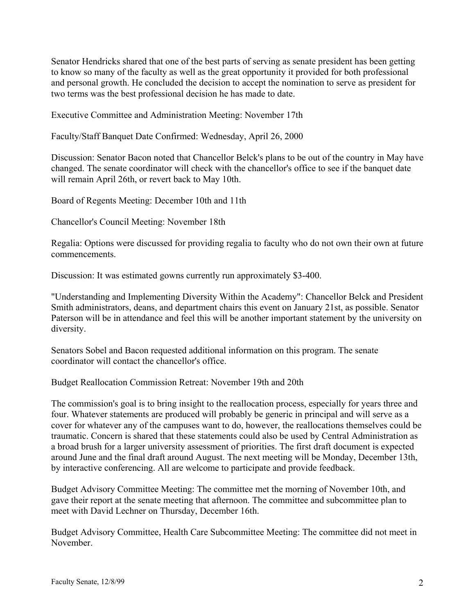Senator Hendricks shared that one of the best parts of serving as senate president has been getting to know so many of the faculty as well as the great opportunity it provided for both professional and personal growth. He concluded the decision to accept the nomination to serve as president for two terms was the best professional decision he has made to date.

Executive Committee and Administration Meeting: November 17th

Faculty/Staff Banquet Date Confirmed: Wednesday, April 26, 2000

Discussion: Senator Bacon noted that Chancellor Belck's plans to be out of the country in May have changed. The senate coordinator will check with the chancellor's office to see if the banquet date will remain April 26th, or revert back to May 10th.

Board of Regents Meeting: December 10th and 11th

Chancellor's Council Meeting: November 18th

Regalia: Options were discussed for providing regalia to faculty who do not own their own at future commencements.

Discussion: It was estimated gowns currently run approximately \$3-400.

"Understanding and Implementing Diversity Within the Academy": Chancellor Belck and President Smith administrators, deans, and department chairs this event on January 21st, as possible. Senator Paterson will be in attendance and feel this will be another important statement by the university on diversity.

Senators Sobel and Bacon requested additional information on this program. The senate coordinator will contact the chancellor's office.

Budget Reallocation Commission Retreat: November 19th and 20th

The commission's goal is to bring insight to the reallocation process, especially for years three and four. Whatever statements are produced will probably be generic in principal and will serve as a cover for whatever any of the campuses want to do, however, the reallocations themselves could be traumatic. Concern is shared that these statements could also be used by Central Administration as a broad brush for a larger university assessment of priorities. The first draft document is expected around June and the final draft around August. The next meeting will be Monday, December 13th, by interactive conferencing. All are welcome to participate and provide feedback.

Budget Advisory Committee Meeting: The committee met the morning of November 10th, and gave their report at the senate meeting that afternoon. The committee and subcommittee plan to meet with David Lechner on Thursday, December 16th.

Budget Advisory Committee, Health Care Subcommittee Meeting: The committee did not meet in November.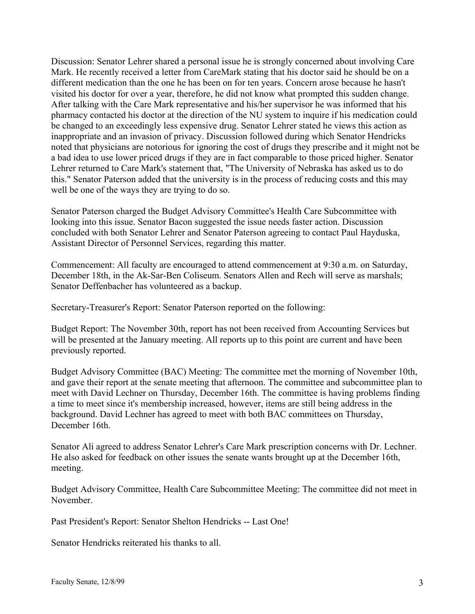Discussion: Senator Lehrer shared a personal issue he is strongly concerned about involving Care Mark. He recently received a letter from CareMark stating that his doctor said he should be on a different medication than the one he has been on for ten years. Concern arose because he hasn't visited his doctor for over a year, therefore, he did not know what prompted this sudden change. After talking with the Care Mark representative and his/her supervisor he was informed that his pharmacy contacted his doctor at the direction of the NU system to inquire if his medication could be changed to an exceedingly less expensive drug. Senator Lehrer stated he views this action as inappropriate and an invasion of privacy. Discussion followed during which Senator Hendricks noted that physicians are notorious for ignoring the cost of drugs they prescribe and it might not be a bad idea to use lower priced drugs if they are in fact comparable to those priced higher. Senator Lehrer returned to Care Mark's statement that, "The University of Nebraska has asked us to do this." Senator Paterson added that the university is in the process of reducing costs and this may well be one of the ways they are trying to do so.

Senator Paterson charged the Budget Advisory Committee's Health Care Subcommittee with looking into this issue. Senator Bacon suggested the issue needs faster action. Discussion concluded with both Senator Lehrer and Senator Paterson agreeing to contact Paul Hayduska, Assistant Director of Personnel Services, regarding this matter.

Commencement: All faculty are encouraged to attend commencement at 9:30 a.m. on Saturday, December 18th, in the Ak-Sar-Ben Coliseum. Senators Allen and Rech will serve as marshals; Senator Deffenbacher has volunteered as a backup.

Secretary-Treasurer's Report: Senator Paterson reported on the following:

Budget Report: The November 30th, report has not been received from Accounting Services but will be presented at the January meeting. All reports up to this point are current and have been previously reported.

Budget Advisory Committee (BAC) Meeting: The committee met the morning of November 10th, and gave their report at the senate meeting that afternoon. The committee and subcommittee plan to meet with David Lechner on Thursday, December 16th. The committee is having problems finding a time to meet since it's membership increased, however, items are still being address in the background. David Lechner has agreed to meet with both BAC committees on Thursday, December 16th.

Senator Ali agreed to address Senator Lehrer's Care Mark prescription concerns with Dr. Lechner. He also asked for feedback on other issues the senate wants brought up at the December 16th, meeting.

Budget Advisory Committee, Health Care Subcommittee Meeting: The committee did not meet in November.

Past President's Report: Senator Shelton Hendricks -- Last One!

Senator Hendricks reiterated his thanks to all.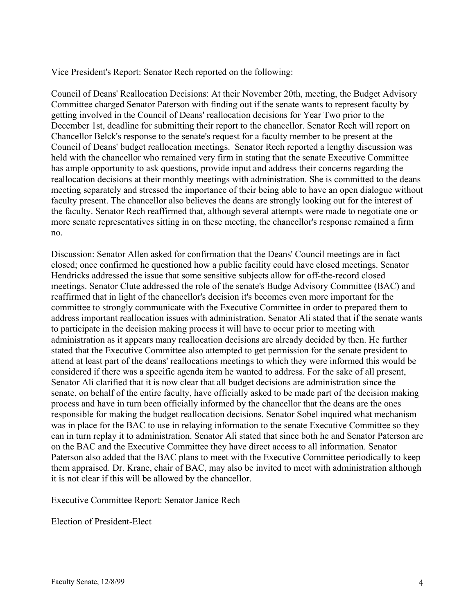Vice President's Report: Senator Rech reported on the following:

Council of Deans' Reallocation Decisions: At their November 20th, meeting, the Budget Advisory Committee charged Senator Paterson with finding out if the senate wants to represent faculty by getting involved in the Council of Deans' reallocation decisions for Year Two prior to the December 1st, deadline for submitting their report to the chancellor. Senator Rech will report on Chancellor Belck's response to the senate's request for a faculty member to be present at the Council of Deans' budget reallocation meetings. Senator Rech reported a lengthy discussion was held with the chancellor who remained very firm in stating that the senate Executive Committee has ample opportunity to ask questions, provide input and address their concerns regarding the reallocation decisions at their monthly meetings with administration. She is committed to the deans meeting separately and stressed the importance of their being able to have an open dialogue without faculty present. The chancellor also believes the deans are strongly looking out for the interest of the faculty. Senator Rech reaffirmed that, although several attempts were made to negotiate one or more senate representatives sitting in on these meeting, the chancellor's response remained a firm no.

Discussion: Senator Allen asked for confirmation that the Deans' Council meetings are in fact closed; once confirmed he questioned how a public facility could have closed meetings. Senator Hendricks addressed the issue that some sensitive subjects allow for off-the-record closed meetings. Senator Clute addressed the role of the senate's Budge Advisory Committee (BAC) and reaffirmed that in light of the chancellor's decision it's becomes even more important for the committee to strongly communicate with the Executive Committee in order to prepared them to address important reallocation issues with administration. Senator Ali stated that if the senate wants to participate in the decision making process it will have to occur prior to meeting with administration as it appears many reallocation decisions are already decided by then. He further stated that the Executive Committee also attempted to get permission for the senate president to attend at least part of the deans' reallocations meetings to which they were informed this would be considered if there was a specific agenda item he wanted to address. For the sake of all present, Senator Ali clarified that it is now clear that all budget decisions are administration since the senate, on behalf of the entire faculty, have officially asked to be made part of the decision making process and have in turn been officially informed by the chancellor that the deans are the ones responsible for making the budget reallocation decisions. Senator Sobel inquired what mechanism was in place for the BAC to use in relaying information to the senate Executive Committee so they can in turn replay it to administration. Senator Ali stated that since both he and Senator Paterson are on the BAC and the Executive Committee they have direct access to all information. Senator Paterson also added that the BAC plans to meet with the Executive Committee periodically to keep them appraised. Dr. Krane, chair of BAC, may also be invited to meet with administration although it is not clear if this will be allowed by the chancellor.

Executive Committee Report: Senator Janice Rech

Election of President-Elect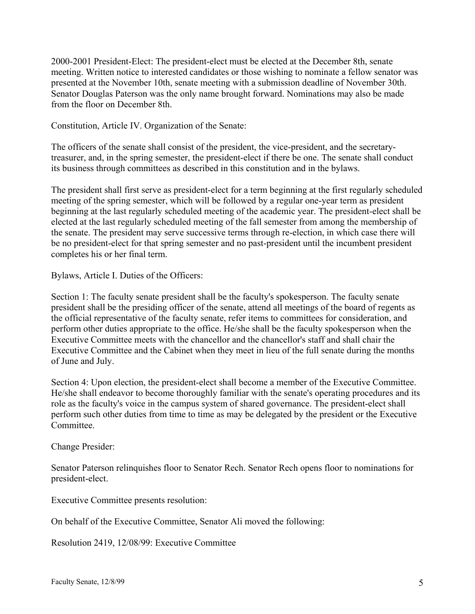2000-2001 President-Elect: The president-elect must be elected at the December 8th, senate meeting. Written notice to interested candidates or those wishing to nominate a fellow senator was presented at the November 10th, senate meeting with a submission deadline of November 30th. Senator Douglas Paterson was the only name brought forward. Nominations may also be made from the floor on December 8th.

Constitution, Article IV. Organization of the Senate:

The officers of the senate shall consist of the president, the vice-president, and the secretarytreasurer, and, in the spring semester, the president-elect if there be one. The senate shall conduct its business through committees as described in this constitution and in the bylaws.

The president shall first serve as president-elect for a term beginning at the first regularly scheduled meeting of the spring semester, which will be followed by a regular one-year term as president beginning at the last regularly scheduled meeting of the academic year. The president-elect shall be elected at the last regularly scheduled meeting of the fall semester from among the membership of the senate. The president may serve successive terms through re-election, in which case there will be no president-elect for that spring semester and no past-president until the incumbent president completes his or her final term.

Bylaws, Article I. Duties of the Officers:

Section 1: The faculty senate president shall be the faculty's spokesperson. The faculty senate president shall be the presiding officer of the senate, attend all meetings of the board of regents as the official representative of the faculty senate, refer items to committees for consideration, and perform other duties appropriate to the office. He/she shall be the faculty spokesperson when the Executive Committee meets with the chancellor and the chancellor's staff and shall chair the Executive Committee and the Cabinet when they meet in lieu of the full senate during the months of June and July.

Section 4: Upon election, the president-elect shall become a member of the Executive Committee. He/she shall endeavor to become thoroughly familiar with the senate's operating procedures and its role as the faculty's voice in the campus system of shared governance. The president-elect shall perform such other duties from time to time as may be delegated by the president or the Executive Committee.

Change Presider:

Senator Paterson relinquishes floor to Senator Rech. Senator Rech opens floor to nominations for president-elect.

Executive Committee presents resolution:

On behalf of the Executive Committee, Senator Ali moved the following:

Resolution 2419, 12/08/99: Executive Committee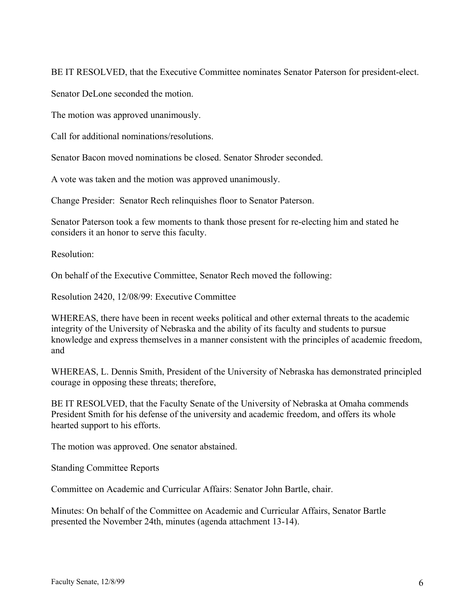BE IT RESOLVED, that the Executive Committee nominates Senator Paterson for president-elect.

Senator DeLone seconded the motion.

The motion was approved unanimously.

Call for additional nominations/resolutions.

Senator Bacon moved nominations be closed. Senator Shroder seconded.

A vote was taken and the motion was approved unanimously.

Change Presider: Senator Rech relinquishes floor to Senator Paterson.

Senator Paterson took a few moments to thank those present for re-electing him and stated he considers it an honor to serve this faculty.

Resolution:

On behalf of the Executive Committee, Senator Rech moved the following:

Resolution 2420, 12/08/99: Executive Committee

WHEREAS, there have been in recent weeks political and other external threats to the academic integrity of the University of Nebraska and the ability of its faculty and students to pursue knowledge and express themselves in a manner consistent with the principles of academic freedom, and

WHEREAS, L. Dennis Smith, President of the University of Nebraska has demonstrated principled courage in opposing these threats; therefore,

BE IT RESOLVED, that the Faculty Senate of the University of Nebraska at Omaha commends President Smith for his defense of the university and academic freedom, and offers its whole hearted support to his efforts.

The motion was approved. One senator abstained.

Standing Committee Reports

Committee on Academic and Curricular Affairs: Senator John Bartle, chair.

Minutes: On behalf of the Committee on Academic and Curricular Affairs, Senator Bartle presented the November 24th, minutes (agenda attachment 13-14).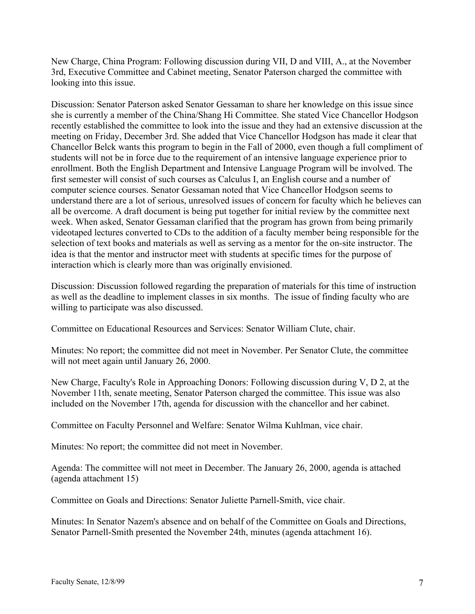New Charge, China Program: Following discussion during VII, D and VIII, A., at the November 3rd, Executive Committee and Cabinet meeting, Senator Paterson charged the committee with looking into this issue.

Discussion: Senator Paterson asked Senator Gessaman to share her knowledge on this issue since she is currently a member of the China/Shang Hi Committee. She stated Vice Chancellor Hodgson recently established the committee to look into the issue and they had an extensive discussion at the meeting on Friday, December 3rd. She added that Vice Chancellor Hodgson has made it clear that Chancellor Belck wants this program to begin in the Fall of 2000, even though a full compliment of students will not be in force due to the requirement of an intensive language experience prior to enrollment. Both the English Department and Intensive Language Program will be involved. The first semester will consist of such courses as Calculus I, an English course and a number of computer science courses. Senator Gessaman noted that Vice Chancellor Hodgson seems to understand there are a lot of serious, unresolved issues of concern for faculty which he believes can all be overcome. A draft document is being put together for initial review by the committee next week. When asked, Senator Gessaman clarified that the program has grown from being primarily videotaped lectures converted to CDs to the addition of a faculty member being responsible for the selection of text books and materials as well as serving as a mentor for the on-site instructor. The idea is that the mentor and instructor meet with students at specific times for the purpose of interaction which is clearly more than was originally envisioned.

Discussion: Discussion followed regarding the preparation of materials for this time of instruction as well as the deadline to implement classes in six months. The issue of finding faculty who are willing to participate was also discussed.

Committee on Educational Resources and Services: Senator William Clute, chair.

Minutes: No report; the committee did not meet in November. Per Senator Clute, the committee will not meet again until January 26, 2000.

New Charge, Faculty's Role in Approaching Donors: Following discussion during V, D 2, at the November 11th, senate meeting, Senator Paterson charged the committee. This issue was also included on the November 17th, agenda for discussion with the chancellor and her cabinet.

Committee on Faculty Personnel and Welfare: Senator Wilma Kuhlman, vice chair.

Minutes: No report; the committee did not meet in November.

Agenda: The committee will not meet in December. The January 26, 2000, agenda is attached (agenda attachment 15)

Committee on Goals and Directions: Senator Juliette Parnell-Smith, vice chair.

Minutes: In Senator Nazem's absence and on behalf of the Committee on Goals and Directions, Senator Parnell-Smith presented the November 24th, minutes (agenda attachment 16).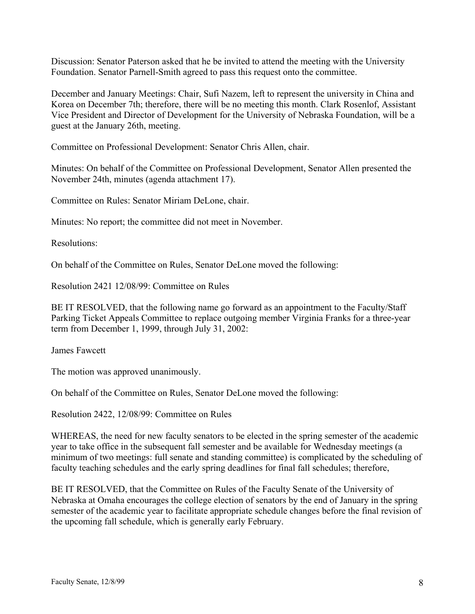Discussion: Senator Paterson asked that he be invited to attend the meeting with the University Foundation. Senator Parnell-Smith agreed to pass this request onto the committee.

December and January Meetings: Chair, Sufi Nazem, left to represent the university in China and Korea on December 7th; therefore, there will be no meeting this month. Clark Rosenlof, Assistant Vice President and Director of Development for the University of Nebraska Foundation, will be a guest at the January 26th, meeting.

Committee on Professional Development: Senator Chris Allen, chair.

Minutes: On behalf of the Committee on Professional Development, Senator Allen presented the November 24th, minutes (agenda attachment 17).

Committee on Rules: Senator Miriam DeLone, chair.

Minutes: No report; the committee did not meet in November.

Resolutions:

On behalf of the Committee on Rules, Senator DeLone moved the following:

Resolution 2421 12/08/99: Committee on Rules

BE IT RESOLVED, that the following name go forward as an appointment to the Faculty/Staff Parking Ticket Appeals Committee to replace outgoing member Virginia Franks for a three-year term from December 1, 1999, through July 31, 2002:

James Fawcett

The motion was approved unanimously.

On behalf of the Committee on Rules, Senator DeLone moved the following:

Resolution 2422, 12/08/99: Committee on Rules

WHEREAS, the need for new faculty senators to be elected in the spring semester of the academic year to take office in the subsequent fall semester and be available for Wednesday meetings (a minimum of two meetings: full senate and standing committee) is complicated by the scheduling of faculty teaching schedules and the early spring deadlines for final fall schedules; therefore,

BE IT RESOLVED, that the Committee on Rules of the Faculty Senate of the University of Nebraska at Omaha encourages the college election of senators by the end of January in the spring semester of the academic year to facilitate appropriate schedule changes before the final revision of the upcoming fall schedule, which is generally early February.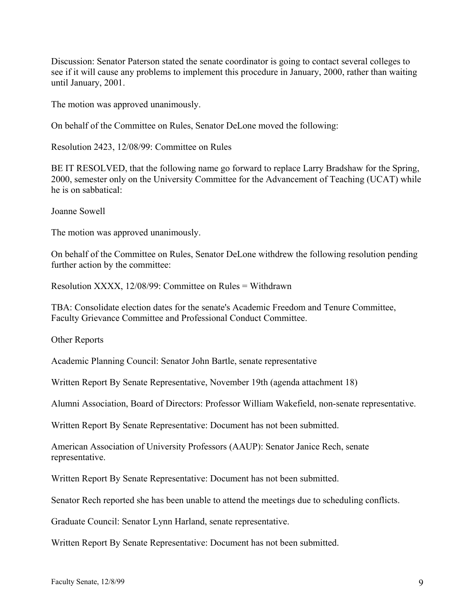Discussion: Senator Paterson stated the senate coordinator is going to contact several colleges to see if it will cause any problems to implement this procedure in January, 2000, rather than waiting until January, 2001.

The motion was approved unanimously.

On behalf of the Committee on Rules, Senator DeLone moved the following:

Resolution 2423, 12/08/99: Committee on Rules

BE IT RESOLVED, that the following name go forward to replace Larry Bradshaw for the Spring, 2000, semester only on the University Committee for the Advancement of Teaching (UCAT) while he is on sabbatical:

Joanne Sowell

The motion was approved unanimously.

On behalf of the Committee on Rules, Senator DeLone withdrew the following resolution pending further action by the committee:

Resolution XXXX, 12/08/99: Committee on Rules = Withdrawn

TBA: Consolidate election dates for the senate's Academic Freedom and Tenure Committee, Faculty Grievance Committee and Professional Conduct Committee.

Other Reports

Academic Planning Council: Senator John Bartle, senate representative

Written Report By Senate Representative, November 19th (agenda attachment 18)

Alumni Association, Board of Directors: Professor William Wakefield, non-senate representative.

Written Report By Senate Representative: Document has not been submitted.

American Association of University Professors (AAUP): Senator Janice Rech, senate representative.

Written Report By Senate Representative: Document has not been submitted.

Senator Rech reported she has been unable to attend the meetings due to scheduling conflicts.

Graduate Council: Senator Lynn Harland, senate representative.

Written Report By Senate Representative: Document has not been submitted.